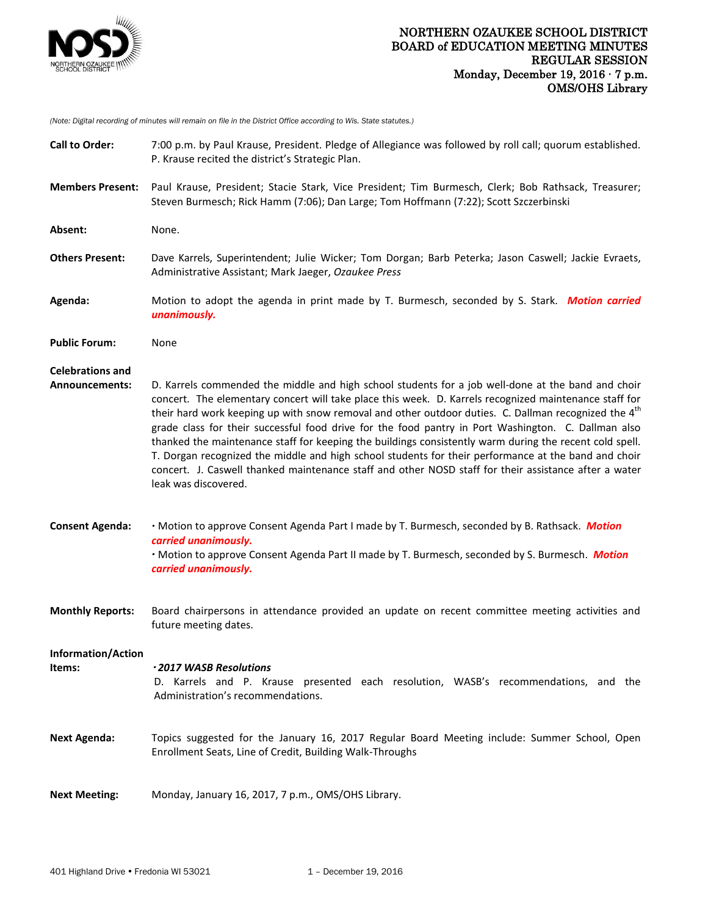

*(Note: Digital recording of minutes will remain on file in the District Office according to Wis. State statutes.)*

| <b>Call to Order:</b>                     | 7:00 p.m. by Paul Krause, President. Pledge of Allegiance was followed by roll call; quorum established.<br>P. Krause recited the district's Strategic Plan.                                                                                                                                                                                                                                                                                                                                                                                                                                                                                                                                                                                                                                |
|-------------------------------------------|---------------------------------------------------------------------------------------------------------------------------------------------------------------------------------------------------------------------------------------------------------------------------------------------------------------------------------------------------------------------------------------------------------------------------------------------------------------------------------------------------------------------------------------------------------------------------------------------------------------------------------------------------------------------------------------------------------------------------------------------------------------------------------------------|
| <b>Members Present:</b>                   | Paul Krause, President; Stacie Stark, Vice President; Tim Burmesch, Clerk; Bob Rathsack, Treasurer;<br>Steven Burmesch; Rick Hamm (7:06); Dan Large; Tom Hoffmann (7:22); Scott Szczerbinski                                                                                                                                                                                                                                                                                                                                                                                                                                                                                                                                                                                                |
| Absent:                                   | None.                                                                                                                                                                                                                                                                                                                                                                                                                                                                                                                                                                                                                                                                                                                                                                                       |
| <b>Others Present:</b>                    | Dave Karrels, Superintendent; Julie Wicker; Tom Dorgan; Barb Peterka; Jason Caswell; Jackie Evraets,<br>Administrative Assistant; Mark Jaeger, Ozaukee Press                                                                                                                                                                                                                                                                                                                                                                                                                                                                                                                                                                                                                                |
| Agenda:                                   | Motion to adopt the agenda in print made by T. Burmesch, seconded by S. Stark. Motion carried<br>unanimously.                                                                                                                                                                                                                                                                                                                                                                                                                                                                                                                                                                                                                                                                               |
| <b>Public Forum:</b>                      | None                                                                                                                                                                                                                                                                                                                                                                                                                                                                                                                                                                                                                                                                                                                                                                                        |
| <b>Celebrations and</b><br>Announcements: | D. Karrels commended the middle and high school students for a job well-done at the band and choir<br>concert. The elementary concert will take place this week. D. Karrels recognized maintenance staff for<br>their hard work keeping up with snow removal and other outdoor duties. C. Dallman recognized the 4 <sup>th</sup><br>grade class for their successful food drive for the food pantry in Port Washington. C. Dallman also<br>thanked the maintenance staff for keeping the buildings consistently warm during the recent cold spell.<br>T. Dorgan recognized the middle and high school students for their performance at the band and choir<br>concert. J. Caswell thanked maintenance staff and other NOSD staff for their assistance after a water<br>leak was discovered. |
| <b>Consent Agenda:</b>                    | · Motion to approve Consent Agenda Part I made by T. Burmesch, seconded by B. Rathsack. Motion<br>carried unanimously.<br>· Motion to approve Consent Agenda Part II made by T. Burmesch, seconded by S. Burmesch. Motion<br>carried unanimously.                                                                                                                                                                                                                                                                                                                                                                                                                                                                                                                                           |
| <b>Monthly Reports:</b>                   | Board chairpersons in attendance provided an update on recent committee meeting activities and<br>future meeting dates.                                                                                                                                                                                                                                                                                                                                                                                                                                                                                                                                                                                                                                                                     |
| Information/Action<br>Items:              | ·2017 WASB Resolutions<br>D. Karrels and P. Krause presented each resolution, WASB's recommendations, and the<br>Administration's recommendations.                                                                                                                                                                                                                                                                                                                                                                                                                                                                                                                                                                                                                                          |
| <b>Next Agenda:</b>                       | Topics suggested for the January 16, 2017 Regular Board Meeting include: Summer School, Open<br>Enrollment Seats, Line of Credit, Building Walk-Throughs                                                                                                                                                                                                                                                                                                                                                                                                                                                                                                                                                                                                                                    |
| <b>Next Meeting:</b>                      | Monday, January 16, 2017, 7 p.m., OMS/OHS Library.                                                                                                                                                                                                                                                                                                                                                                                                                                                                                                                                                                                                                                                                                                                                          |